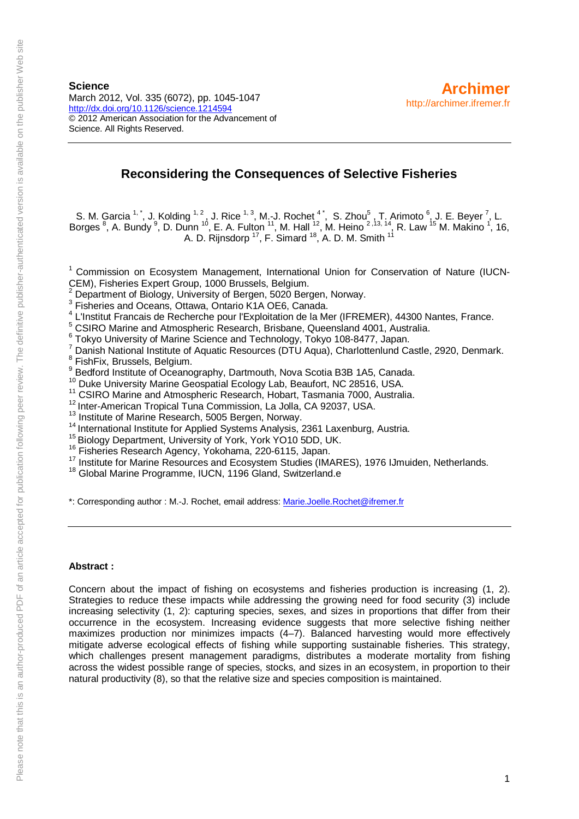**Science** March 2012, Vol. 335 (6072), pp. 1045-1047 <http://dx.doi.org/10.1126/science.1214594> © 2012 American Association for the Advancement of Science. All Rights Reserved.

# **Reconsidering the Consequences of Selective Fisheries**

S. M. Garcia  $1, 1$ , J. Kolding  $1, 2$ , J. Rice  $1, 3$ , M.-J. Rochet  $4, 1$ , S. Zhou $5, 7$ . Arimoto  $6, 1$ . E. Beyer  $7, 1$ . Borges <sup>8</sup>, A. Bundy <sup>9</sup>, D. Dunn <sup>10</sup>, E. A. Fulton <sup>11</sup>, M. Hall <sup>12</sup>, M. Heino <sup>2, 13, 14</sup>, R. Law <sup>15</sup> M. Makino <sup>1</sup>, 16, A. D. Rijnsdorp <sup>17</sup>, F. Simard <sup>18</sup>, A. D. M. Smith <sup>11</sup>

<sup>1</sup> Commission on Ecosystem Management, International Union for Conservation of Nature (IUCN-CEM), Fisheries Expert Group, 1000 Brussels, Belgium.

<sup>2</sup> Department of Biology, University of Bergen, 5020 Bergen, Norway.<br><sup>3</sup> Fisheries and Oceans, Ottawa, Ontario K1A OE6, Canada.<br><sup>4</sup> L'Institut Francais de Recherche pour l'Exploitation de la Mer (IFREMER), 44300 Nantes,

<sup>4</sup> L'Institut Francais de Recherche pour l'Exploitation de la Mer (IFREMER), 44300 Nantes, France.<br><sup>5</sup> CSIRO Marine and Atmospheric Research, Brisbane, Queensland 4001, Australia.<br><sup>6</sup> Tokyo University of Marine Science an

- 
- 

<sup>15</sup> Biology Department, University of York, York YO10 5DD, UK.<br><sup>16</sup> Fisheries Research Agency, Yokohama, 220-6115, Japan.<br><sup>17</sup> Institute for Marine Resources and Ecosystem Studies (IMARES), 1976 IJmuiden, Netherlands.<br><sup>1</sup>

\*: Corresponding author : M.-J. Rochet, email address: [Marie.Joelle.Rochet@ifremer.fr](mailto:Marie.Joelle.Rochet@ifremer.fr)

### **Abstract :**

Concern about the impact of fishing on ecosystems and fisheries production is increasing (1, 2). Strategies to reduce these impacts while addressing the growing need for food security (3) include increasing selectivity (1, 2): capturing species, sexes, and sizes in proportions that differ from their occurrence in the ecosystem. Increasing evidence suggests that more selective fishing neither maximizes production nor minimizes impacts (4–7). Balanced harvesting would more effectively mitigate adverse ecological effects of fishing while supporting sustainable fisheries. This strategy, which challenges present management paradigms, distributes a moderate mortality from fishing across the widest possible range of species, stocks, and sizes in an ecosystem, in proportion to their natural productivity (8), so that the relative size and species composition is maintained.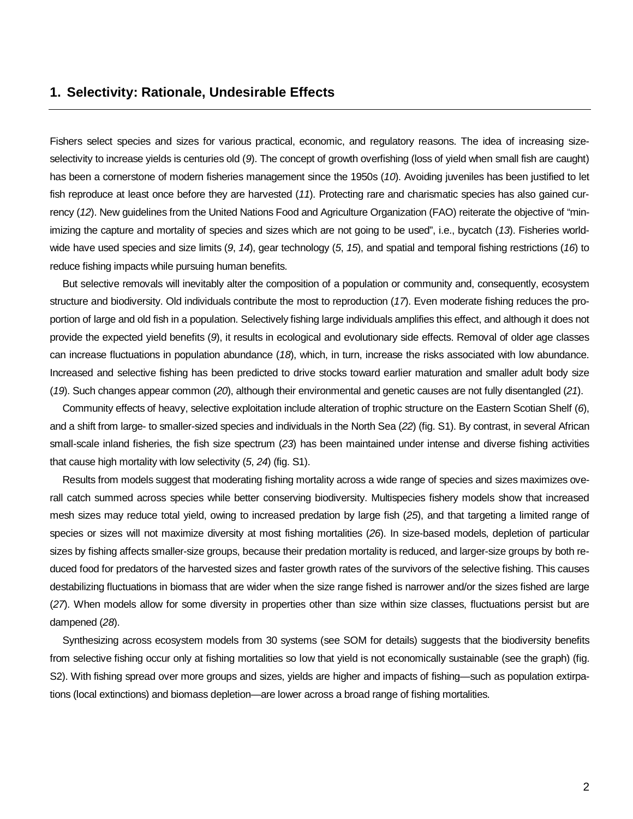## **1. Selectivity: Rationale, Undesirable Effects**

Fishers select species and sizes for various practical, economic, and regulatory reasons. The idea of increasing sizeselectivity to increase yields is centuries old (*9*). The concept of growth overfishing (loss of yield when small fish are caught) has been a cornerstone of modern fisheries management since the 1950s (*10*). Avoiding juveniles has been justified to let fish reproduce at least once before they are harvested (*11*). Protecting rare and charismatic species has also gained currency (*12*). New guidelines from the United Nations Food and Agriculture Organization (FAO) reiterate the objective of "minimizing the capture and mortality of species and sizes which are not going to be used", i.e., bycatch (*13*). Fisheries worldwide have used species and size limits (*9*, *14*), gear technology (*5*, *15*), and spatial and temporal fishing restrictions (*16*) to reduce fishing impacts while pursuing human benefits.

But selective removals will inevitably alter the composition of a population or community and, consequently, ecosystem structure and biodiversity. Old individuals contribute the most to reproduction (*17*). Even moderate fishing reduces the proportion of large and old fish in a population. Selectively fishing large individuals amplifies this effect, and although it does not provide the expected yield benefits (*9*), it results in ecological and evolutionary side effects. Removal of older age classes can increase fluctuations in population abundance (*18*), which, in turn, increase the risks associated with low abundance. Increased and selective fishing has been predicted to drive stocks toward earlier maturation and smaller adult body size (*19*). Such changes appear common (*20*), although their environmental and genetic causes are not fully disentangled (*21*).

Community effects of heavy, selective exploitation include alteration of trophic structure on the Eastern Scotian Shelf (*6*), and a shift from large- to smaller-sized species and individuals in the North Sea (*22*) (fig. S1). By contrast, in several African small-scale inland fisheries, the fish size spectrum (*23*) has been maintained under intense and diverse fishing activities that cause high mortality with low selectivity (*5*, *24*) (fig. S1).

Results from models suggest that moderating fishing mortality across a wide range of species and sizes maximizes overall catch summed across species while better conserving biodiversity. Multispecies fishery models show that increased mesh sizes may reduce total yield, owing to increased predation by large fish (*25*), and that targeting a limited range of species or sizes will not maximize diversity at most fishing mortalities (*26*). In size-based models, depletion of particular sizes by fishing affects smaller-size groups, because their predation mortality is reduced, and larger-size groups by both reduced food for predators of the harvested sizes and faster growth rates of the survivors of the selective fishing. This causes destabilizing fluctuations in biomass that are wider when the size range fished is narrower and/or the sizes fished are large (*27*). When models allow for some diversity in properties other than size within size classes, fluctuations persist but are dampened (*28*).

Synthesizing across ecosystem models from 30 systems (see SOM for details) suggests that the biodiversity benefits from selective fishing occur only at fishing mortalities so low that yield is not economically sustainable (see the graph) (fig. S2). With fishing spread over more groups and sizes, yields are higher and impacts of fishing—such as population extirpations (local extinctions) and biomass depletion—are lower across a broad range of fishing mortalities.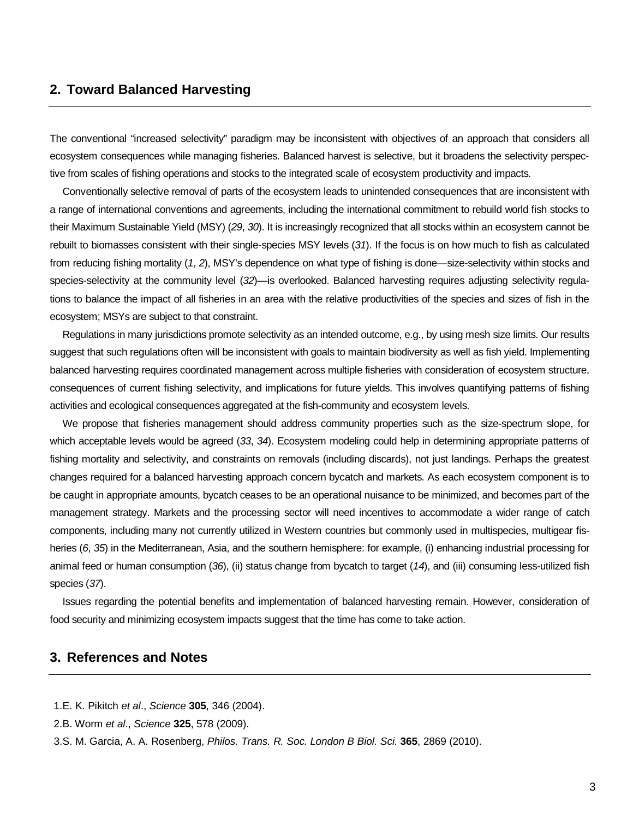# **2. Toward Balanced Harvesting**

The conventional "increased selectivity" paradigm may be inconsistent with objectives of an approach that considers all ecosystem consequences while managing fisheries. Balanced harvest is selective, but it broadens the selectivity perspective from scales of fishing operations and stocks to the integrated scale of ecosystem productivity and impacts.

Conventionally selective removal of parts of the ecosystem leads to unintended consequences that are inconsistent with a range of international conventions and agreements, including the international commitment to rebuild world fish stocks to their Maximum Sustainable Yield (MSY) (*29*, *30*). It is increasingly recognized that all stocks within an ecosystem cannot be rebuilt to biomasses consistent with their single-species MSY levels (*31*). If the focus is on how much to fish as calculated from reducing fishing mortality (*1*, *2*), MSY's dependence on what type of fishing is done—size-selectivity within stocks and species-selectivity at the community level (*32*)—is overlooked. Balanced harvesting requires adjusting selectivity regulations to balance the impact of all fisheries in an area with the relative productivities of the species and sizes of fish in the ecosystem; MSYs are subject to that constraint.

Regulations in many jurisdictions promote selectivity as an intended outcome, e.g., by using mesh size limits. Our results suggest that such regulations often will be inconsistent with goals to maintain biodiversity as well as fish yield. Implementing balanced harvesting requires coordinated management across multiple fisheries with consideration of ecosystem structure, consequences of current fishing selectivity, and implications for future yields. This involves quantifying patterns of fishing activities and ecological consequences aggregated at the fish-community and ecosystem levels.

We propose that fisheries management should address community properties such as the size-spectrum slope, for which acceptable levels would be agreed (*33*, *34*). Ecosystem modeling could help in determining appropriate patterns of fishing mortality and selectivity, and constraints on removals (including discards), not just landings. Perhaps the greatest changes required for a balanced harvesting approach concern bycatch and markets. As each ecosystem component is to be caught in appropriate amounts, bycatch ceases to be an operational nuisance to be minimized, and becomes part of the management strategy. Markets and the processing sector will need incentives to accommodate a wider range of catch components, including many not currently utilized in Western countries but commonly used in multispecies, multigear fisheries (*6*, *35*) in the Mediterranean, Asia, and the southern hemisphere: for example, (i) enhancing industrial processing for animal feed or human consumption (*36*), (ii) status change from bycatch to target (*14*), and (iii) consuming less-utilized fish species (*37*).

Issues regarding the potential benefits and implementation of balanced harvesting remain. However, consideration of food security and minimizing ecosystem impacts suggest that the time has come to take action.

## **3. References and Notes**

- 1.E. K. Pikitch *et al*., *Science* **305**, 346 (2004).
- 2.B. Worm *et al*., *Science* **325**, 578 (2009).
- 3.S. M. Garcia, A. A. Rosenberg, *Philos. Trans. R. Soc. London B Biol. Sci.* **365**, 2869 (2010).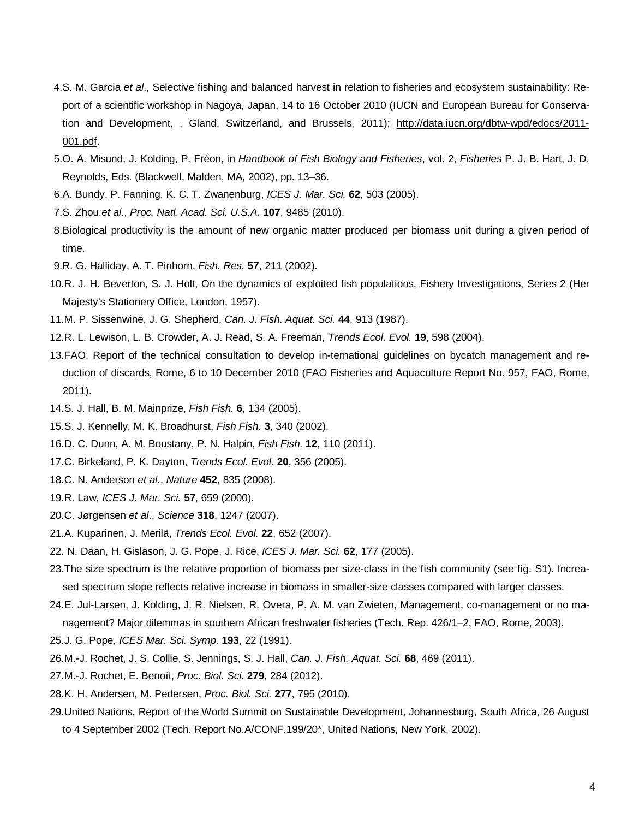- 4.S. M. Garcia *et al*., Selective fishing and balanced harvest in relation to fisheries and ecosystem sustainability: Report of a scientific workshop in Nagoya, Japan, 14 to 16 October 2010 (IUCN and European Bureau for Conservation and Development, , Gland, Switzerland, and Brussels, 2011); [http://data.iucn.org/dbtw-wpd/edocs/2011-](http://data.iucn.org/dbtw-wpd/edocs/2011-001.pdf) [001.pdf.](http://data.iucn.org/dbtw-wpd/edocs/2011-001.pdf)
- 5.O. A. Misund, J. Kolding, P. Fréon, in *Handbook of Fish Biology and Fisheries*, vol. 2, *Fisheries* P. J. B. Hart, J. D. Reynolds, Eds. (Blackwell, Malden, MA, 2002), pp. 13–36.
- 6.A. Bundy, P. Fanning, K. C. T. Zwanenburg, *ICES J. Mar. Sci.* **62**, 503 (2005).
- 7.S. Zhou *et al*., *Proc. Natl. Acad. Sci. U.S.A.* **107**, 9485 (2010).
- 8.Biological productivity is the amount of new organic matter produced per biomass unit during a given period of time.
- 9.R. G. Halliday, A. T. Pinhorn, *Fish. Res.* **57**, 211 (2002).
- 10.R. J. H. Beverton, S. J. Holt, On the dynamics of exploited fish populations, Fishery Investigations, Series 2 (Her Majesty's Stationery Office, London, 1957).
- 11.M. P. Sissenwine, J. G. Shepherd, *Can. J. Fish. Aquat. Sci.* **44**, 913 (1987).
- 12.R. L. Lewison, L. B. Crowder, A. J. Read, S. A. Freeman, *Trends Ecol. Evol.* **19**, 598 (2004).
- 13.FAO, Report of the technical consultation to develop in-ternational guidelines on bycatch management and reduction of discards, Rome, 6 to 10 December 2010 (FAO Fisheries and Aquaculture Report No. 957, FAO, Rome, 2011).
- 14.S. J. Hall, B. M. Mainprize, *Fish Fish.* **6**, 134 (2005).
- 15.S. J. Kennelly, M. K. Broadhurst, *Fish Fish.* **3**, 340 (2002).
- 16.D. C. Dunn, A. M. Boustany, P. N. Halpin, *Fish Fish.* **12**, 110 (2011).
- 17.C. Birkeland, P. K. Dayton, *Trends Ecol. Evol.* **20**, 356 (2005).
- 18.C. N. Anderson *et al*., *Nature* **452**, 835 (2008).
- 19.R. Law, *ICES J. Mar. Sci.* **57**, 659 (2000).
- 20.C. Jørgensen *et al*., *Science* **318**, 1247 (2007).
- 21.A. Kuparinen, J. Merilä, *Trends Ecol. Evol.* **22**, 652 (2007).
- 22. N. Daan, H. Gislason, J. G. Pope, J. Rice, *ICES J. Mar. Sci.* **62**, 177 (2005).
- 23.The size spectrum is the relative proportion of biomass per size-class in the fish community (see fig. S1). Increased spectrum slope reflects relative increase in biomass in smaller-size classes compared with larger classes.
- 24.E. Jul-Larsen, J. Kolding, J. R. Nielsen, R. Overa, P. A. M. van Zwieten, Management, co-management or no management? Major dilemmas in southern African freshwater fisheries (Tech. Rep. 426/1–2, FAO, Rome, 2003).
- 25.J. G. Pope, *ICES Mar. Sci. Symp.* **193**, 22 (1991).
- 26.M.-J. Rochet, J. S. Collie, S. Jennings, S. J. Hall, *Can. J. Fish. Aquat. Sci.* **68**, 469 (2011).
- 27.M.-J. Rochet, E. Benoît, *Proc. Biol. Sci.* **279**, 284 (2012).
- 28.K. H. Andersen, M. Pedersen, *Proc. Biol. Sci.* **277**, 795 (2010).
- 29.United Nations, Report of the World Summit on Sustainable Development, Johannesburg, South Africa, 26 August
	- to 4 September 2002 (Tech. Report No.A/CONF.199/20\*, United Nations, New York, 2002).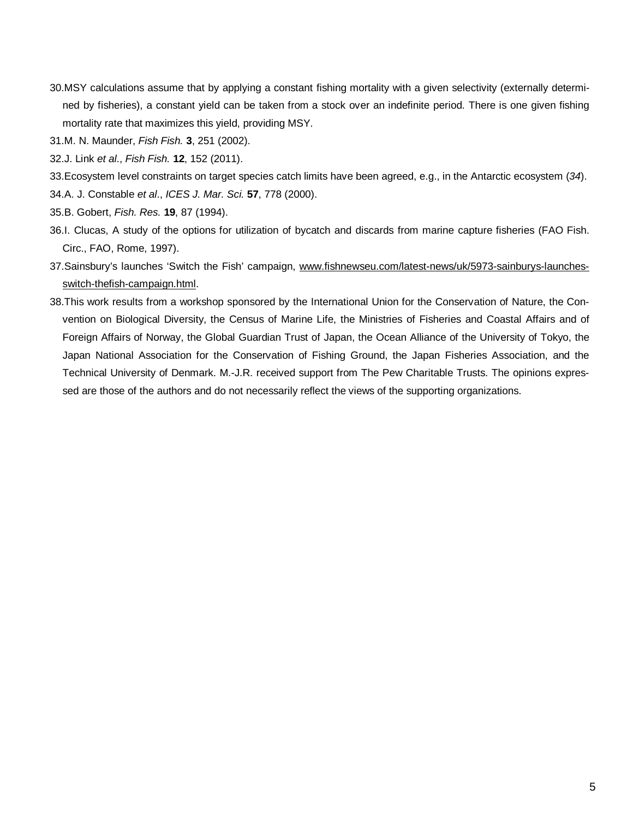- 30.MSY calculations assume that by applying a constant fishing mortality with a given selectivity (externally determined by fisheries), a constant yield can be taken from a stock over an indefinite period. There is one given fishing mortality rate that maximizes this yield, providing MSY.
- 31.M. N. Maunder, *Fish Fish.* **3**, 251 (2002).
- 32.J. Link *et al*., *Fish Fish.* **12**, 152 (2011).
- 33.Ecosystem level constraints on target species catch limits have been agreed, e.g., in the Antarctic ecosystem (*34*).
- 34.A. J. Constable *et al*., *ICES J. Mar. Sci.* **57**, 778 (2000).
- 35.B. Gobert, *Fish. Res.* **19**, 87 (1994).
- 36.I. Clucas, A study of the options for utilization of bycatch and discards from marine capture fisheries (FAO Fish. Circ., FAO, Rome, 1997).
- 37.Sainsbury's launches 'Switch the Fish' campaign, [www.fishnewseu.com/latest-news/uk/5973-sainburys-launches](http://www.fishnewseu.com/latest-news/uk/5973-sainburys-launches-switch-thefish-campaign.html)[switch-thefish-campaign.html.](http://www.fishnewseu.com/latest-news/uk/5973-sainburys-launches-switch-thefish-campaign.html)
- 38.This work results from a workshop sponsored by the International Union for the Conservation of Nature, the Convention on Biological Diversity, the Census of Marine Life, the Ministries of Fisheries and Coastal Affairs and of Foreign Affairs of Norway, the Global Guardian Trust of Japan, the Ocean Alliance of the University of Tokyo, the Japan National Association for the Conservation of Fishing Ground, the Japan Fisheries Association, and the Technical University of Denmark. M.-J.R. received support from The Pew Charitable Trusts. The opinions expressed are those of the authors and do not necessarily reflect the views of the supporting organizations.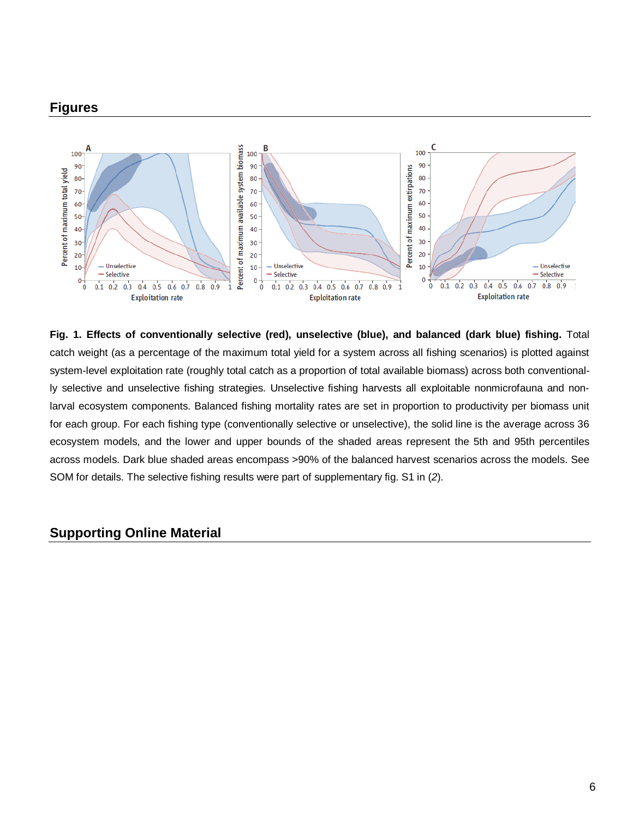# **Figures**



**Fig. 1. Effects of conventionally selective (red), unselective (blue), and balanced (dark blue) fishing.** Total catch weight (as a percentage of the maximum total yield for a system across all fishing scenarios) is plotted against system-level exploitation rate (roughly total catch as a proportion of total available biomass) across both conventionally selective and unselective fishing strategies. Unselective fishing harvests all exploitable nonmicrofauna and nonlarval ecosystem components. Balanced fishing mortality rates are set in proportion to productivity per biomass unit for each group. For each fishing type (conventionally selective or unselective), the solid line is the average across 36 ecosystem models, and the lower and upper bounds of the shaded areas represent the 5th and 95th percentiles across models. Dark blue shaded areas encompass >90% of the balanced harvest scenarios across the models. See SOM for details. The selective fishing results were part of supplementary fig. S1 in (*2*).

# **Supporting Online Material**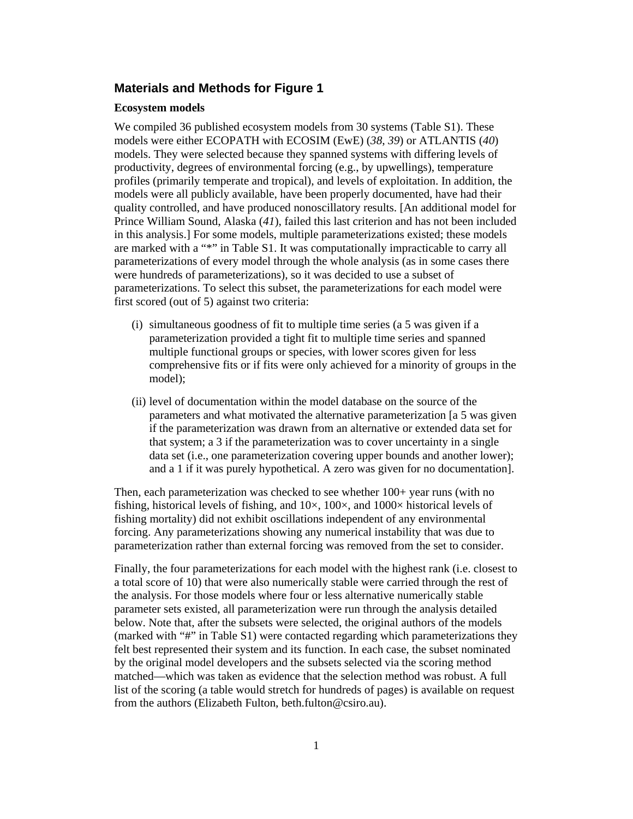## **Materials and Methods for Figure 1**

#### **Ecosystem models**

We compiled 36 published ecosystem models from 30 systems (Table S1). These models were either ECOPATH with ECOSIM (EwE) (*38*, *39*) or ATLANTIS (*40*) models. They were selected because they spanned systems with differing levels of productivity, degrees of environmental forcing (e.g., by upwellings), temperature profiles (primarily temperate and tropical), and levels of exploitation. In addition, the models were all publicly available, have been properly documented, have had their quality controlled, and have produced nonoscillatory results. [An additional model for Prince William Sound, Alaska (*41*), failed this last criterion and has not been included in this analysis.] For some models, multiple parameterizations existed; these models are marked with a "\*" in Table S1. It was computationally impracticable to carry all parameterizations of every model through the whole analysis (as in some cases there were hundreds of parameterizations), so it was decided to use a subset of parameterizations. To select this subset, the parameterizations for each model were first scored (out of 5) against two criteria:

- (i) simultaneous goodness of fit to multiple time series (a 5 was given if a parameterization provided a tight fit to multiple time series and spanned multiple functional groups or species, with lower scores given for less comprehensive fits or if fits were only achieved for a minority of groups in the model);
- (ii) level of documentation within the model database on the source of the parameters and what motivated the alternative parameterization [a 5 was given if the parameterization was drawn from an alternative or extended data set for that system; a 3 if the parameterization was to cover uncertainty in a single data set (i.e., one parameterization covering upper bounds and another lower); and a 1 if it was purely hypothetical. A zero was given for no documentation].

Then, each parameterization was checked to see whether 100+ year runs (with no fishing, historical levels of fishing, and  $10\times$ ,  $100\times$ , and  $1000\times$  historical levels of fishing mortality) did not exhibit oscillations independent of any environmental forcing. Any parameterizations showing any numerical instability that was due to parameterization rather than external forcing was removed from the set to consider.

Finally, the four parameterizations for each model with the highest rank (i.e. closest to a total score of 10) that were also numerically stable were carried through the rest of the analysis. For those models where four or less alternative numerically stable parameter sets existed, all parameterization were run through the analysis detailed below. Note that, after the subsets were selected, the original authors of the models (marked with "#" in Table S1) were contacted regarding which parameterizations they felt best represented their system and its function. In each case, the subset nominated by the original model developers and the subsets selected via the scoring method matched—which was taken as evidence that the selection method was robust. A full list of the scoring (a table would stretch for hundreds of pages) is available on request from the authors (Elizabeth Fulton, beth.fulton@csiro.au).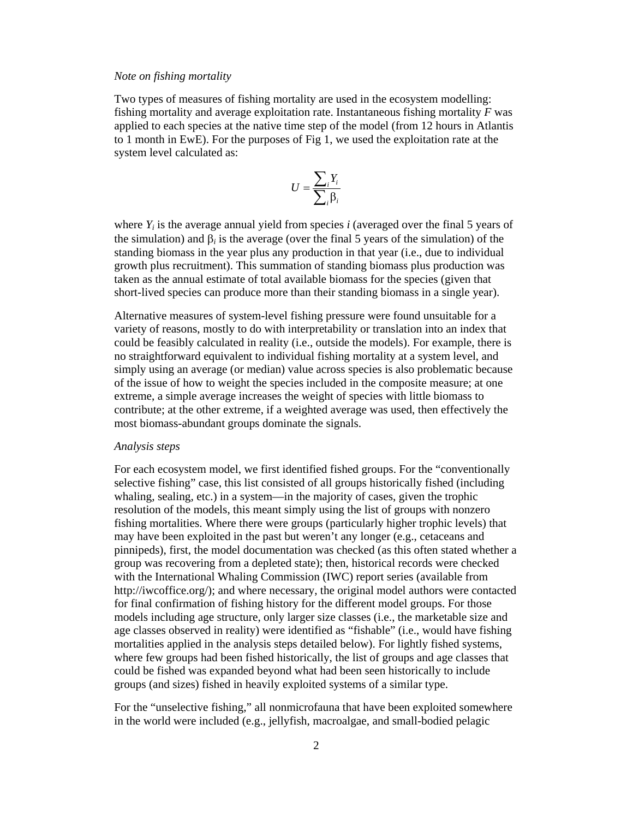#### *Note on fishing mortality*

Two types of measures of fishing mortality are used in the ecosystem modelling: fishing mortality and average exploitation rate. Instantaneous fishing mortality *F* was applied to each species at the native time step of the model (from 12 hours in Atlantis to 1 month in EwE). For the purposes of Fig 1, we used the exploitation rate at the system level calculated as:

$$
U = \frac{\sum_i Y_i}{\sum_i \beta_i}
$$

where  $Y_i$  is the average annual yield from species *i* (averaged over the final 5 years of the simulation) and  $\beta_i$  is the average (over the final 5 years of the simulation) of the standing biomass in the year plus any production in that year (i.e., due to individual growth plus recruitment). This summation of standing biomass plus production was taken as the annual estimate of total available biomass for the species (given that short-lived species can produce more than their standing biomass in a single year).

Alternative measures of system-level fishing pressure were found unsuitable for a variety of reasons, mostly to do with interpretability or translation into an index that could be feasibly calculated in reality (i.e., outside the models). For example, there is no straightforward equivalent to individual fishing mortality at a system level, and simply using an average (or median) value across species is also problematic because of the issue of how to weight the species included in the composite measure; at one extreme, a simple average increases the weight of species with little biomass to contribute; at the other extreme, if a weighted average was used, then effectively the most biomass-abundant groups dominate the signals.

#### *Analysis steps*

For each ecosystem model, we first identified fished groups. For the "conventionally selective fishing" case, this list consisted of all groups historically fished (including whaling, sealing, etc.) in a system—in the majority of cases, given the trophic resolution of the models, this meant simply using the list of groups with nonzero fishing mortalities. Where there were groups (particularly higher trophic levels) that may have been exploited in the past but weren't any longer (e.g., cetaceans and pinnipeds), first, the model documentation was checked (as this often stated whether a group was recovering from a depleted state); then, historical records were checked with the International Whaling Commission (IWC) report series (available from http://iwcoffice.org/); and where necessary, the original model authors were contacted for final confirmation of fishing history for the different model groups. For those models including age structure, only larger size classes (i.e., the marketable size and age classes observed in reality) were identified as "fishable" (i.e., would have fishing mortalities applied in the analysis steps detailed below). For lightly fished systems, where few groups had been fished historically, the list of groups and age classes that could be fished was expanded beyond what had been seen historically to include groups (and sizes) fished in heavily exploited systems of a similar type.

For the "unselective fishing," all nonmicrofauna that have been exploited somewhere in the world were included (e.g., jellyfish, macroalgae, and small-bodied pelagic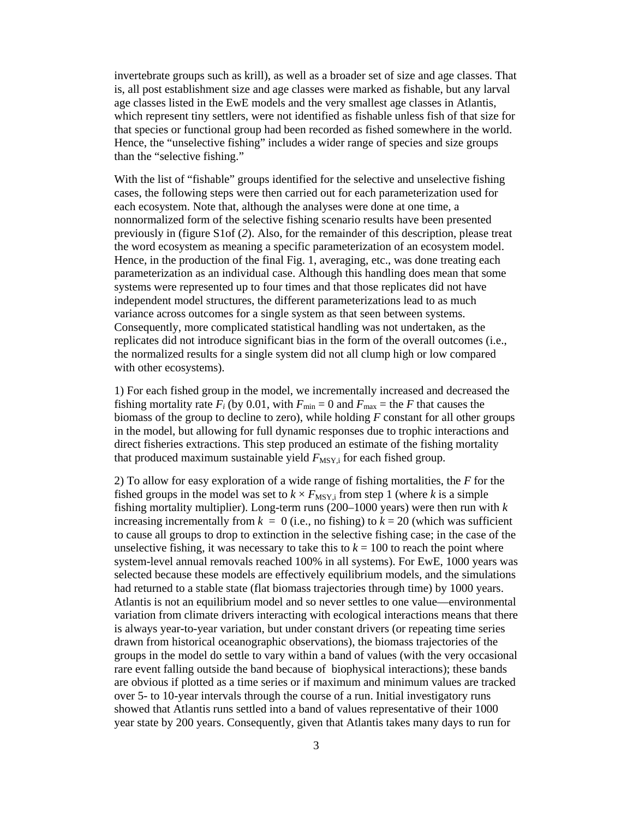invertebrate groups such as krill), as well as a broader set of size and age classes. That is, all post establishment size and age classes were marked as fishable, but any larval age classes listed in the EwE models and the very smallest age classes in Atlantis, which represent tiny settlers, were not identified as fishable unless fish of that size for that species or functional group had been recorded as fished somewhere in the world. Hence, the "unselective fishing" includes a wider range of species and size groups than the "selective fishing."

With the list of "fishable" groups identified for the selective and unselective fishing cases, the following steps were then carried out for each parameterization used for each ecosystem. Note that, although the analyses were done at one time, a nonnormalized form of the selective fishing scenario results have been presented previously in (figure S1of (*2*). Also, for the remainder of this description, please treat the word ecosystem as meaning a specific parameterization of an ecosystem model. Hence, in the production of the final Fig. 1, averaging, etc., was done treating each parameterization as an individual case. Although this handling does mean that some systems were represented up to four times and that those replicates did not have independent model structures, the different parameterizations lead to as much variance across outcomes for a single system as that seen between systems. Consequently, more complicated statistical handling was not undertaken, as the replicates did not introduce significant bias in the form of the overall outcomes (i.e., the normalized results for a single system did not all clump high or low compared with other ecosystems).

1) For each fished group in the model, we incrementally increased and decreased the fishing mortality rate  $F_i$  (by 0.01, with  $F_{min} = 0$  and  $F_{max} =$  the *F* that causes the biomass of the group to decline to zero), while holding *F* constant for all other groups in the model, but allowing for full dynamic responses due to trophic interactions and direct fisheries extractions. This step produced an estimate of the fishing mortality that produced maximum sustainable yield  $F_{\text{MSY},i}$  for each fished group.

2) To allow for easy exploration of a wide range of fishing mortalities, the *F* for the fished groups in the model was set to  $k \times F_{\text{MSY},i}$  from step 1 (where *k* is a simple fishing mortality multiplier). Long-term runs (200–1000 years) were then run with *k* increasing incrementally from  $k = 0$  (i.e., no fishing) to  $k = 20$  (which was sufficient to cause all groups to drop to extinction in the selective fishing case; in the case of the unselective fishing, it was necessary to take this to  $k = 100$  to reach the point where system-level annual removals reached 100% in all systems). For EwE, 1000 years was selected because these models are effectively equilibrium models, and the simulations had returned to a stable state (flat biomass trajectories through time) by 1000 years. Atlantis is not an equilibrium model and so never settles to one value—environmental variation from climate drivers interacting with ecological interactions means that there is always year-to-year variation, but under constant drivers (or repeating time series drawn from historical oceanographic observations), the biomass trajectories of the groups in the model do settle to vary within a band of values (with the very occasional rare event falling outside the band because of biophysical interactions); these bands are obvious if plotted as a time series or if maximum and minimum values are tracked over 5- to 10-year intervals through the course of a run. Initial investigatory runs showed that Atlantis runs settled into a band of values representative of their 1000 year state by 200 years. Consequently, given that Atlantis takes many days to run for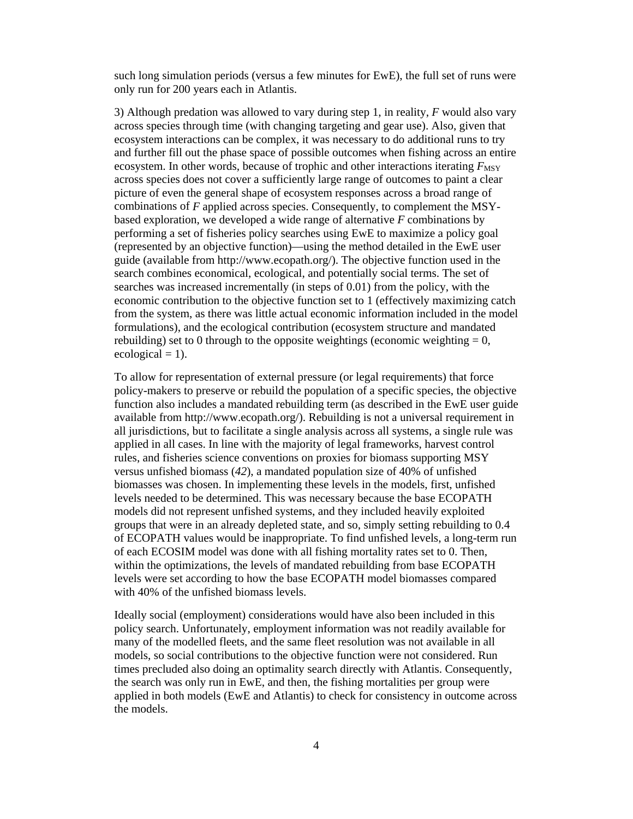such long simulation periods (versus a few minutes for EwE), the full set of runs were only run for 200 years each in Atlantis.

3) Although predation was allowed to vary during step 1, in reality, *F* would also vary across species through time (with changing targeting and gear use). Also, given that ecosystem interactions can be complex, it was necessary to do additional runs to try and further fill out the phase space of possible outcomes when fishing across an entire ecosystem. In other words, because of trophic and other interactions iterating  $F_{\text{MSY}}$ across species does not cover a sufficiently large range of outcomes to paint a clear picture of even the general shape of ecosystem responses across a broad range of combinations of *F* applied across species. Consequently, to complement the MSYbased exploration, we developed a wide range of alternative *F* combinations by performing a set of fisheries policy searches using EwE to maximize a policy goal (represented by an objective function)—using the method detailed in the EwE user guide (available from http://www.ecopath.org/). The objective function used in the search combines economical, ecological, and potentially social terms. The set of searches was increased incrementally (in steps of 0.01) from the policy, with the economic contribution to the objective function set to 1 (effectively maximizing catch from the system, as there was little actual economic information included in the model formulations), and the ecological contribution (ecosystem structure and mandated rebuilding) set to 0 through to the opposite weightings (economic weighting  $= 0$ , ecological  $= 1$ ).

To allow for representation of external pressure (or legal requirements) that force policy-makers to preserve or rebuild the population of a specific species, the objective function also includes a mandated rebuilding term (as described in the EwE user guide available from http://www.ecopath.org/). Rebuilding is not a universal requirement in all jurisdictions, but to facilitate a single analysis across all systems, a single rule was applied in all cases. In line with the majority of legal frameworks, harvest control rules, and fisheries science conventions on proxies for biomass supporting MSY versus unfished biomass (*42*), a mandated population size of 40% of unfished biomasses was chosen. In implementing these levels in the models, first, unfished levels needed to be determined. This was necessary because the base ECOPATH models did not represent unfished systems, and they included heavily exploited groups that were in an already depleted state, and so, simply setting rebuilding to 0.4 of ECOPATH values would be inappropriate. To find unfished levels, a long-term run of each ECOSIM model was done with all fishing mortality rates set to 0. Then, within the optimizations, the levels of mandated rebuilding from base ECOPATH levels were set according to how the base ECOPATH model biomasses compared with 40% of the unfished biomass levels.

Ideally social (employment) considerations would have also been included in this policy search. Unfortunately, employment information was not readily available for many of the modelled fleets, and the same fleet resolution was not available in all models, so social contributions to the objective function were not considered. Run times precluded also doing an optimality search directly with Atlantis. Consequently, the search was only run in EwE, and then, the fishing mortalities per group were applied in both models (EwE and Atlantis) to check for consistency in outcome across the models.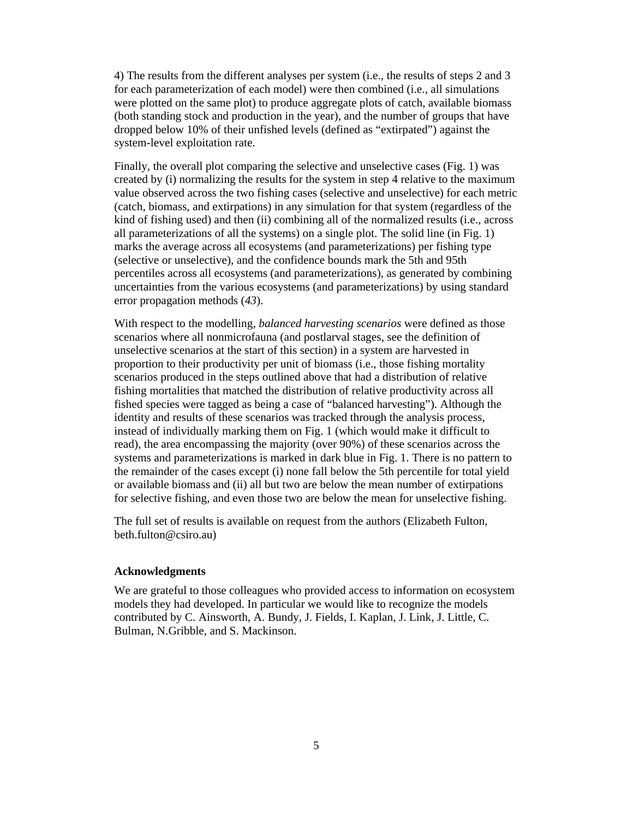4) The results from the different analyses per system (i.e., the results of steps 2 and 3 for each parameterization of each model) were then combined (i.e., all simulations were plotted on the same plot) to produce aggregate plots of catch, available biomass (both standing stock and production in the year), and the number of groups that have dropped below 10% of their unfished levels (defined as "extirpated") against the system-level exploitation rate.

Finally, the overall plot comparing the selective and unselective cases (Fig. 1) was created by (i) normalizing the results for the system in step 4 relative to the maximum value observed across the two fishing cases (selective and unselective) for each metric (catch, biomass, and extirpations) in any simulation for that system (regardless of the kind of fishing used) and then (ii) combining all of the normalized results (i.e., across all parameterizations of all the systems) on a single plot. The solid line (in Fig. 1) marks the average across all ecosystems (and parameterizations) per fishing type (selective or unselective), and the confidence bounds mark the 5th and 95th percentiles across all ecosystems (and parameterizations), as generated by combining uncertainties from the various ecosystems (and parameterizations) by using standard error propagation methods (*43*).

With respect to the modelling, *balanced harvesting scenarios* were defined as those scenarios where all nonmicrofauna (and postlarval stages, see the definition of unselective scenarios at the start of this section) in a system are harvested in proportion to their productivity per unit of biomass (i.e., those fishing mortality scenarios produced in the steps outlined above that had a distribution of relative fishing mortalities that matched the distribution of relative productivity across all fished species were tagged as being a case of "balanced harvesting"). Although the identity and results of these scenarios was tracked through the analysis process, instead of individually marking them on Fig. 1 (which would make it difficult to read), the area encompassing the majority (over 90%) of these scenarios across the systems and parameterizations is marked in dark blue in Fig. 1. There is no pattern to the remainder of the cases except (i) none fall below the 5th percentile for total yield or available biomass and (ii) all but two are below the mean number of extirpations for selective fishing, and even those two are below the mean for unselective fishing.

The full set of results is available on request from the authors (Elizabeth Fulton, beth.fulton@csiro.au)

#### **Acknowledgments**

We are grateful to those colleagues who provided access to information on ecosystem models they had developed. In particular we would like to recognize the models contributed by C. Ainsworth, A. Bundy, J. Fields, I. Kaplan, J. Link, J. Little, C. Bulman, N.Gribble, and S. Mackinson.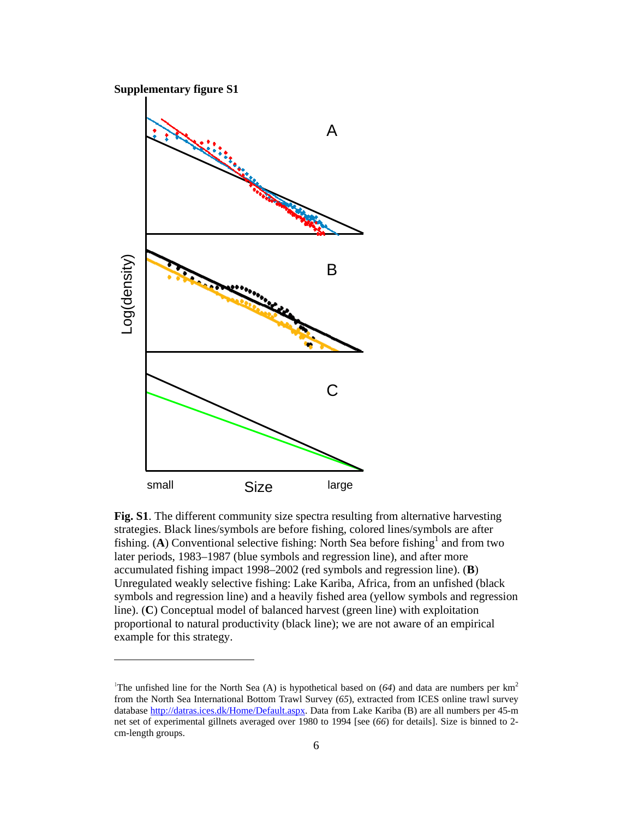

 $\overline{a}$ 



**Fig. S1**. The different community size spectra resulting from alternative harvesting strategies. Black lines/symbols are before fishing, colored lines/symbols are after fishing. (A) Conventional selective fishing: North Sea before fishing<sup>1</sup> and from two later periods, 1983–1987 (blue symbols and regression line), and after more accumulated fishing impact 1998–2002 (red symbols and regression line). (**B**) Unregulated weakly selective fishing: Lake Kariba, Africa, from an unfished (black symbols and regression line) and a heavily fished area (yellow symbols and regression line). (**C**) Conceptual model of balanced harvest (green line) with exploitation proportional to natural productivity (black line); we are not aware of an empirical example for this strategy.

<sup>&</sup>lt;sup>1</sup>The unfished line for the North Sea (A) is hypothetical based on  $(64)$  and data are numbers per km<sup>2</sup> from the North Sea International Bottom Trawl Survey (*65*), extracted from ICES online trawl survey database http://datras.ices.dk/Home/Default.aspx. Data from Lake Kariba (B) are all numbers per 45-m net set of experimental gillnets averaged over 1980 to 1994 [see (*66*) for details]. Size is binned to 2 cm-length groups.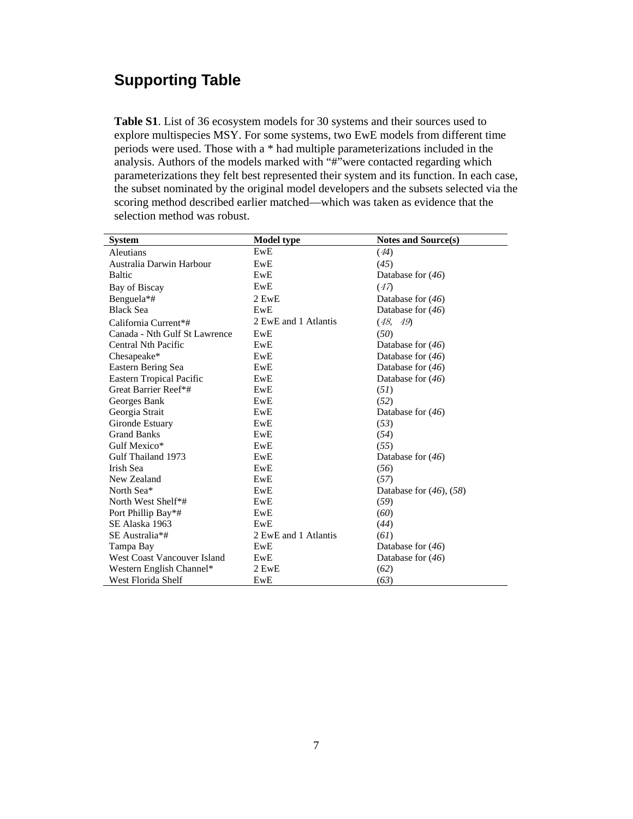# **Supporting Table**

**Table S1**. List of 36 ecosystem models for 30 systems and their sources used to explore multispecies MSY. For some systems, two EwE models from different time periods were used. Those with a \* had multiple parameterizations included in the analysis. Authors of the models marked with "#"were contacted regarding which parameterizations they felt best represented their system and its function. In each case, the subset nominated by the original model developers and the subsets selected via the scoring method described earlier matched—which was taken as evidence that the selection method was robust.

| <b>System</b>                   | <b>Model type</b>    | Notes and Source(s)          |
|---------------------------------|----------------------|------------------------------|
| Aleutians                       | EwE                  | (44)                         |
| Australia Darwin Harbour        | EwE                  | (45)                         |
| <b>Baltic</b>                   | EwE                  | Database for $(46)$          |
| Bay of Biscay                   | EwE                  | (47)                         |
| Benguela*#                      | 2 EwE                | Database for $(46)$          |
| <b>Black Sea</b>                | EwE                  | Database for $(46)$          |
| California Current*#            | 2 EwE and 1 Atlantis | (48, 49)                     |
| Canada - Nth Gulf St Lawrence   | EwE                  | (50)                         |
| Central Nth Pacific             | EwE                  | Database for $(46)$          |
| Chesapeake*                     | EwE                  | Database for $(46)$          |
| Eastern Bering Sea              | EwE                  | Database for $(46)$          |
| <b>Eastern Tropical Pacific</b> | EwE                  | Database for $(46)$          |
| Great Barrier Reef*#            | EwE                  | (51)                         |
| Georges Bank                    | EwE                  | (52)                         |
| Georgia Strait                  | EwE                  | Database for $(46)$          |
| Gironde Estuary                 | EwE                  | (53)                         |
| <b>Grand Banks</b>              | EwE                  | (54)                         |
| Gulf Mexico*                    | EwE                  | (55)                         |
| Gulf Thailand 1973              | EwE                  | Database for $(46)$          |
| Irish Sea                       | EwE                  | (56)                         |
| New Zealand                     | EwE                  | (57)                         |
| North Sea*                      | EwE                  | Database for $(46)$ , $(58)$ |
| North West Shelf*#              | EwE                  | (59)                         |
| Port Phillip Bay*#              | EwE                  | (60)                         |
| SE Alaska 1963                  | EwE                  | (44)                         |
| SE Australia*#                  | 2 EwE and 1 Atlantis | (6I)                         |
| Tampa Bay                       | EwE                  | Database for $(46)$          |
| West Coast Vancouver Island     | EwE                  | Database for $(46)$          |
| Western English Channel*        | 2 EwE                | (62)                         |
| West Florida Shelf              | EwE                  | (63)                         |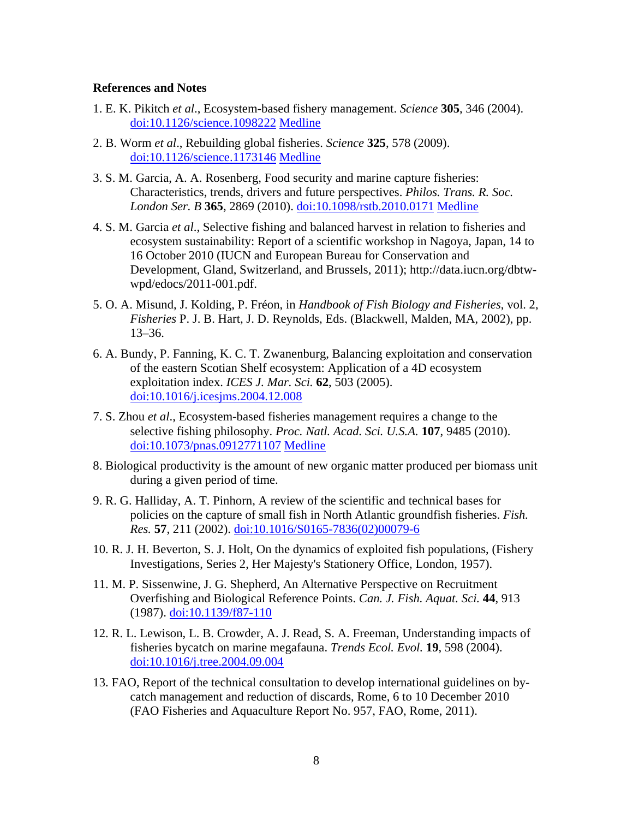## **References and Notes**

- 1. E. K. Pikitch *et al*., Ecosystem-based fishery management. *Science* **305**, 346 (2004). doi:10.1126/science.1098222 Medline
- 2. B. Worm *et al*., Rebuilding global fisheries. *Science* **325**, 578 (2009). doi:10.1126/science.1173146 Medline
- 3. S. M. Garcia, A. A. Rosenberg, Food security and marine capture fisheries: Characteristics, trends, drivers and future perspectives. *Philos. Trans. R. Soc. London Ser. B* **365**, 2869 (2010). doi:10.1098/rstb.2010.0171 Medline
- 4. S. M. Garcia *et al*., Selective fishing and balanced harvest in relation to fisheries and ecosystem sustainability: Report of a scientific workshop in Nagoya, Japan, 14 to 16 October 2010 (IUCN and European Bureau for Conservation and Development, Gland, Switzerland, and Brussels, 2011); http://data.iucn.org/dbtwwpd/edocs/2011-001.pdf.
- 5. O. A. Misund, J. Kolding, P. Fréon, in *Handbook of Fish Biology and Fisheries*, vol. 2, *Fisheries* P. J. B. Hart, J. D. Reynolds, Eds. (Blackwell, Malden, MA, 2002), pp. 13–36.
- 6. A. Bundy, P. Fanning, K. C. T. Zwanenburg, Balancing exploitation and conservation of the eastern Scotian Shelf ecosystem: Application of a 4D ecosystem exploitation index. *ICES J. Mar. Sci.* **62**, 503 (2005). doi:10.1016/j.icesjms.2004.12.008
- 7. S. Zhou *et al*., Ecosystem-based fisheries management requires a change to the selective fishing philosophy. *Proc. Natl. Acad. Sci. U.S.A.* **107**, 9485 (2010). doi:10.1073/pnas.0912771107 Medline
- 8. Biological productivity is the amount of new organic matter produced per biomass unit during a given period of time.
- 9. R. G. Halliday, A. T. Pinhorn, A review of the scientific and technical bases for policies on the capture of small fish in North Atlantic groundfish fisheries. *Fish. Res.* **57**, 211 (2002). doi:10.1016/S0165-7836(02)00079-6
- 10. R. J. H. Beverton, S. J. Holt, On the dynamics of exploited fish populations, (Fishery Investigations, Series 2, Her Majesty's Stationery Office, London, 1957).
- 11. M. P. Sissenwine, J. G. Shepherd, An Alternative Perspective on Recruitment Overfishing and Biological Reference Points. *Can. J. Fish. Aquat. Sci.* **44**, 913 (1987). doi:10.1139/f87-110
- 12. R. L. Lewison, L. B. Crowder, A. J. Read, S. A. Freeman, Understanding impacts of fisheries bycatch on marine megafauna. *Trends Ecol. Evol.* **19**, 598 (2004). doi:10.1016/j.tree.2004.09.004
- 13. FAO, Report of the technical consultation to develop international guidelines on bycatch management and reduction of discards, Rome, 6 to 10 December 2010 (FAO Fisheries and Aquaculture Report No. 957, FAO, Rome, 2011).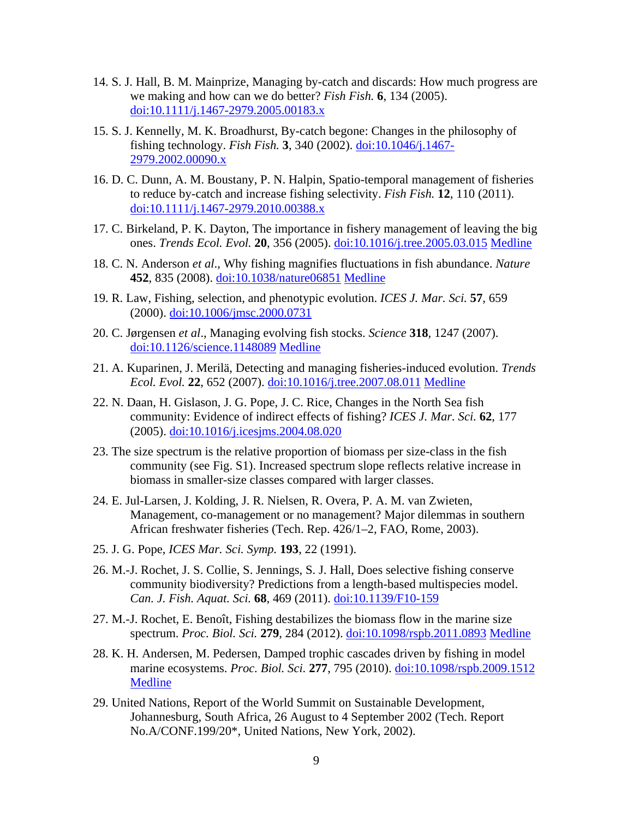- 14. S. J. Hall, B. M. Mainprize, Managing by-catch and discards: How much progress are we making and how can we do better? *Fish Fish.* **6**, 134 (2005). doi:10.1111/j.1467-2979.2005.00183.x
- 15. S. J. Kennelly, M. K. Broadhurst, By-catch begone: Changes in the philosophy of fishing technology. *Fish Fish.* **3**, 340 (2002). doi:10.1046/j.1467- 2979.2002.00090.x
- 16. D. C. Dunn, A. M. Boustany, P. N. Halpin, Spatio-temporal management of fisheries to reduce by-catch and increase fishing selectivity. *Fish Fish.* **12**, 110 (2011). doi:10.1111/j.1467-2979.2010.00388.x
- 17. C. Birkeland, P. K. Dayton, The importance in fishery management of leaving the big ones. *Trends Ecol. Evol.* **20**, 356 (2005). doi:10.1016/j.tree.2005.03.015 Medline
- 18. C. N. Anderson *et al*., Why fishing magnifies fluctuations in fish abundance. *Nature* **452**, 835 (2008). doi:10.1038/nature06851 Medline
- 19. R. Law, Fishing, selection, and phenotypic evolution. *ICES J. Mar. Sci.* **57**, 659 (2000). doi:10.1006/jmsc.2000.0731
- 20. C. Jørgensen *et al*., Managing evolving fish stocks. *Science* **318**, 1247 (2007). doi:10.1126/science.1148089 Medline
- 21. A. Kuparinen, J. Merilä, Detecting and managing fisheries-induced evolution. *Trends Ecol. Evol.* **22**, 652 (2007). doi:10.1016/j.tree.2007.08.011 Medline
- 22. N. Daan, H. Gislason, J. G. Pope, J. C. Rice, Changes in the North Sea fish community: Evidence of indirect effects of fishing? *ICES J. Mar. Sci.* **62**, 177 (2005). doi:10.1016/j.icesjms.2004.08.020
- 23. The size spectrum is the relative proportion of biomass per size-class in the fish community (see Fig. S1). Increased spectrum slope reflects relative increase in biomass in smaller-size classes compared with larger classes.
- 24. E. Jul-Larsen, J. Kolding, J. R. Nielsen, R. Overa, P. A. M. van Zwieten, Management, co-management or no management? Major dilemmas in southern African freshwater fisheries (Tech. Rep. 426/1–2, FAO, Rome, 2003).
- 25. J. G. Pope, *ICES Mar. Sci. Symp.* **193**, 22 (1991).
- 26. M.-J. Rochet, J. S. Collie, S. Jennings, S. J. Hall, Does selective fishing conserve community biodiversity? Predictions from a length-based multispecies model. *Can. J. Fish. Aquat. Sci.* **68**, 469 (2011). doi:10.1139/F10-159
- 27. M.-J. Rochet, E. Benoît, Fishing destabilizes the biomass flow in the marine size spectrum. *Proc. Biol. Sci.* **279**, 284 (2012). doi:10.1098/rspb.2011.0893 Medline
- 28. K. H. Andersen, M. Pedersen, Damped trophic cascades driven by fishing in model marine ecosystems. *Proc. Biol. Sci.* **277**, 795 (2010). doi:10.1098/rspb.2009.1512 Medline
- 29. United Nations, Report of the World Summit on Sustainable Development, Johannesburg, South Africa, 26 August to 4 September 2002 (Tech. Report No.A/CONF.199/20\*, United Nations, New York, 2002).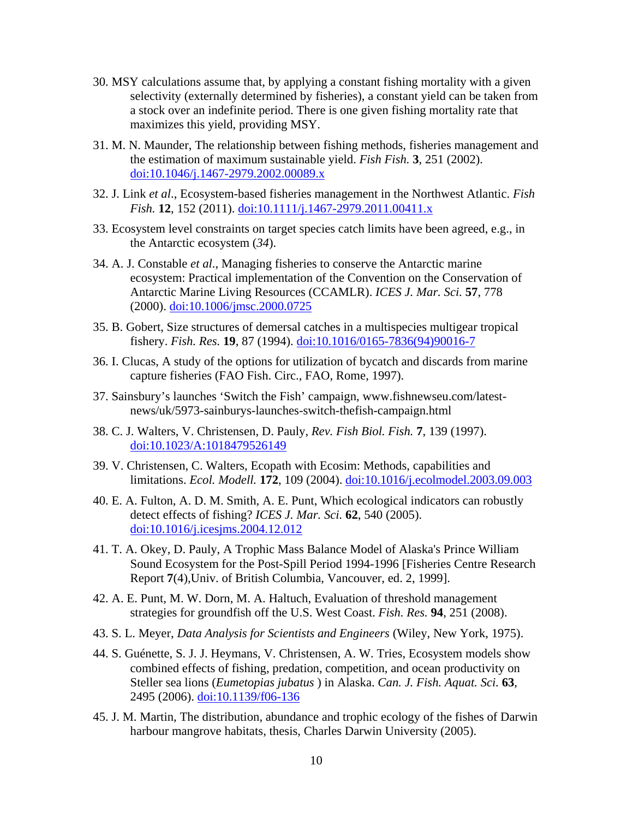- 30. MSY calculations assume that, by applying a constant fishing mortality with a given selectivity (externally determined by fisheries), a constant yield can be taken from a stock over an indefinite period. There is one given fishing mortality rate that maximizes this yield, providing MSY.
- 31. M. N. Maunder, The relationship between fishing methods, fisheries management and the estimation of maximum sustainable yield. *Fish Fish.* **3**, 251 (2002). doi:10.1046/j.1467-2979.2002.00089.x
- 32. J. Link *et al*., Ecosystem-based fisheries management in the Northwest Atlantic. *Fish Fish.* **12**, 152 (2011). doi:10.1111/j.1467-2979.2011.00411.x
- 33. Ecosystem level constraints on target species catch limits have been agreed, e.g., in the Antarctic ecosystem (*34*).
- 34. A. J. Constable *et al*., Managing fisheries to conserve the Antarctic marine ecosystem: Practical implementation of the Convention on the Conservation of Antarctic Marine Living Resources (CCAMLR). *ICES J. Mar. Sci.* **57**, 778 (2000). doi:10.1006/jmsc.2000.0725
- 35. B. Gobert, Size structures of demersal catches in a multispecies multigear tropical fishery. *Fish. Res.* **19**, 87 (1994). doi:10.1016/0165-7836(94)90016-7
- 36. I. Clucas, A study of the options for utilization of bycatch and discards from marine capture fisheries (FAO Fish. Circ., FAO, Rome, 1997).
- 37. Sainsbury's launches 'Switch the Fish' campaign, www.fishnewseu.com/latestnews/uk/5973-sainburys-launches-switch-thefish-campaign.html
- 38. C. J. Walters, V. Christensen, D. Pauly, *Rev. Fish Biol. Fish.* **7**, 139 (1997). doi:10.1023/A:1018479526149
- 39. V. Christensen, C. Walters, Ecopath with Ecosim: Methods, capabilities and limitations. *Ecol. Modell.* **172**, 109 (2004). doi:10.1016/j.ecolmodel.2003.09.003
- 40. E. A. Fulton, A. D. M. Smith, A. E. Punt, Which ecological indicators can robustly detect effects of fishing? *ICES J. Mar. Sci.* **62**, 540 (2005). doi:10.1016/j.icesjms.2004.12.012
- 41. T. A. Okey, D. Pauly, A Trophic Mass Balance Model of Alaska's Prince William Sound Ecosystem for the Post-Spill Period 1994-1996 [Fisheries Centre Research Report **7**(4),Univ. of British Columbia, Vancouver, ed. 2, 1999].
- 42. A. E. Punt, M. W. Dorn, M. A. Haltuch, Evaluation of threshold management strategies for groundfish off the U.S. West Coast. *Fish. Res.* **94**, 251 (2008).
- 43. S. L. Meyer, *Data Analysis for Scientists and Engineers* (Wiley, New York, 1975).
- 44. S. Guénette, S. J. J. Heymans, V. Christensen, A. W. Tries, Ecosystem models show combined effects of fishing, predation, competition, and ocean productivity on Steller sea lions (*Eumetopias jubatus* ) in Alaska. *Can. J. Fish. Aquat. Sci.* **63**, 2495 (2006). doi:10.1139/f06-136
- 45. J. M. Martin, The distribution, abundance and trophic ecology of the fishes of Darwin harbour mangrove habitats, thesis, Charles Darwin University (2005).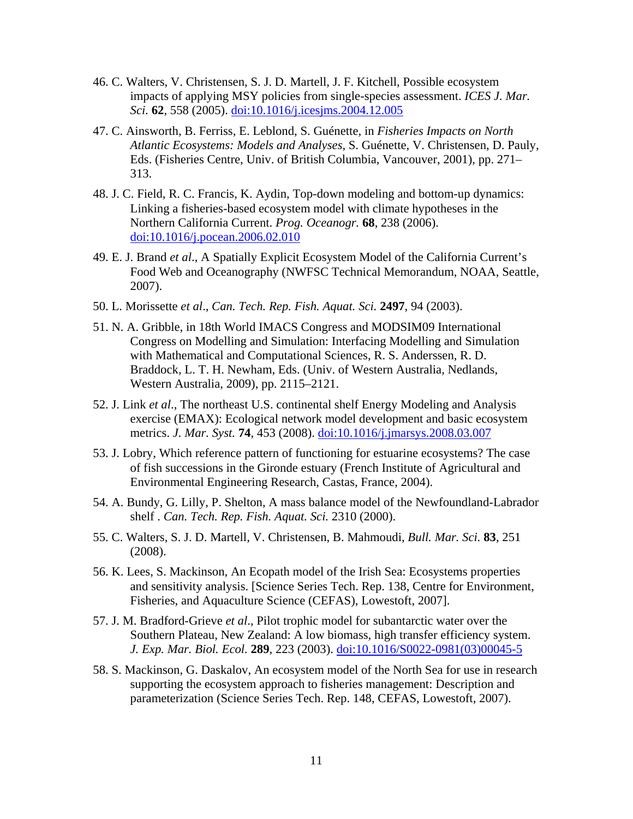- 46. C. Walters, V. Christensen, S. J. D. Martell, J. F. Kitchell, Possible ecosystem impacts of applying MSY policies from single-species assessment. *ICES J. Mar. Sci.* **62**, 558 (2005). doi:10.1016/j.icesjms.2004.12.005
- 47. C. Ainsworth, B. Ferriss, E. Leblond, S. Guénette, in *Fisheries Impacts on North Atlantic Ecosystems: Models and Analyses*, S. Guénette, V. Christensen, D. Pauly, Eds. (Fisheries Centre, Univ. of British Columbia, Vancouver, 2001), pp. 271– 313.
- 48. J. C. Field, R. C. Francis, K. Aydin, Top-down modeling and bottom-up dynamics: Linking a fisheries-based ecosystem model with climate hypotheses in the Northern California Current. *Prog. Oceanogr.* **68**, 238 (2006). doi:10.1016/j.pocean.2006.02.010
- 49. E. J. Brand *et al*., A Spatially Explicit Ecosystem Model of the California Current's Food Web and Oceanography (NWFSC Technical Memorandum, NOAA, Seattle, 2007).
- 50. L. Morissette *et al*., *Can. Tech. Rep. Fish. Aquat. Sci.* **2497**, 94 (2003).
- 51. N. A. Gribble, in 18th World IMACS Congress and MODSIM09 International Congress on Modelling and Simulation: Interfacing Modelling and Simulation with Mathematical and Computational Sciences, R. S. Anderssen, R. D. Braddock, L. T. H. Newham, Eds. (Univ. of Western Australia, Nedlands, Western Australia, 2009), pp. 2115–2121.
- 52. J. Link *et al*., The northeast U.S. continental shelf Energy Modeling and Analysis exercise (EMAX): Ecological network model development and basic ecosystem metrics. *J. Mar. Syst.* **74**, 453 (2008). doi:10.1016/j.jmarsys.2008.03.007
- 53. J. Lobry, Which reference pattern of functioning for estuarine ecosystems? The case of fish successions in the Gironde estuary (French Institute of Agricultural and Environmental Engineering Research, Castas, France, 2004).
- 54. A. Bundy, G. Lilly, P. Shelton, A mass balance model of the Newfoundland-Labrador shelf . *Can. Tech. Rep. Fish. Aquat. Sci.* 2310 (2000).
- 55. C. Walters, S. J. D. Martell, V. Christensen, B. Mahmoudi, *Bull. Mar. Sci.* **83**, 251 (2008).
- 56. K. Lees, S. Mackinson, An Ecopath model of the Irish Sea: Ecosystems properties and sensitivity analysis. [Science Series Tech. Rep. 138, Centre for Environment, Fisheries, and Aquaculture Science (CEFAS), Lowestoft, 2007].
- 57. J. M. Bradford-Grieve *et al*., Pilot trophic model for subantarctic water over the Southern Plateau, New Zealand: A low biomass, high transfer efficiency system. *J. Exp. Mar. Biol. Ecol.* **289**, 223 (2003). doi:10.1016/S0022-0981(03)00045-5
- 58. S. Mackinson, G. Daskalov, An ecosystem model of the North Sea for use in research supporting the ecosystem approach to fisheries management: Description and parameterization (Science Series Tech. Rep. 148, CEFAS, Lowestoft, 2007).